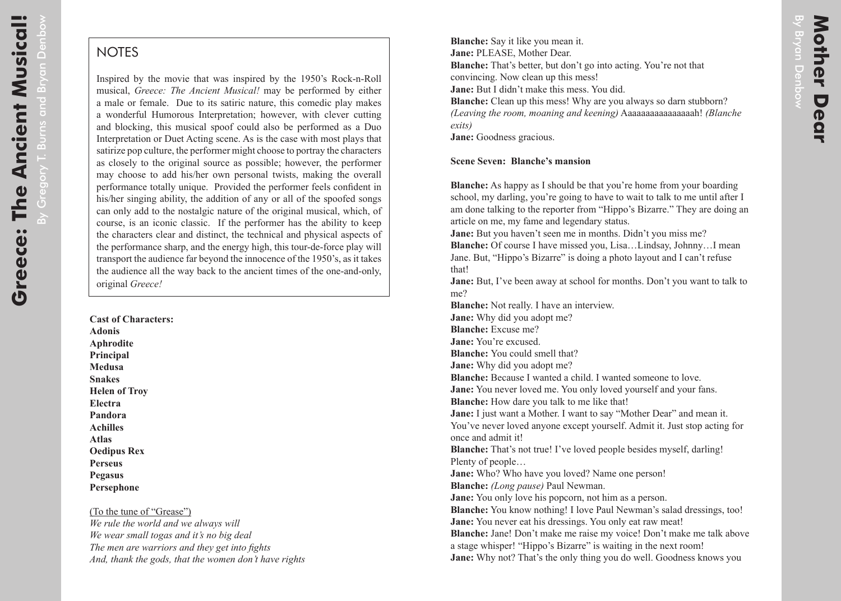By Gregory T. Burns and Bryan Denbow

By Gregory T. Burns and Bryan Denbow

## **NOTES**

Inspired by the movie that was inspired by the 1950's Rock-n-Roll musical, *Greece: The Ancient Musical!* may be performed by either a male or female. Due to its satiric nature, this comedic play makes a wonderful Humorous Interpretation; however, with clever cutting and blocking, this musical spoof could also be performed as a Duo Interpretation or Duet Acting scene. As is the case with most plays that satirize pop culture, the performer might choose to portray the characters as closely to the original source as possible; however, the performer may choose to add his/her own personal twists, making the overall performance totally unique. Provided the performer feels confident in his/her singing ability, the addition of any or all of the spoofed songs can only add to the nostalgic nature of the original musical, which, of course, is an iconic classic. If the performer has the ability to keep the characters clear and distinct, the technical and physical aspects of the performance sharp, and the energy high, this tour-de-force play will transport the audience far beyond the innocence of the 1950's, as it takes the audience all the way back to the ancient times of the one-and-only, original *Greece!*

**Cast of Characters: Adonis Aphrodite Principal Medusa Snakes Helen of Troy Electra Pandora Achilles Atlas Oedipus Rex Perseus Pegasus Persephone**

(To the tune of "Grease") *We rule the world and we always will We wear small togas and it's no big deal The men are warriors and they get into fights And, thank the gods, that the women don't have rights*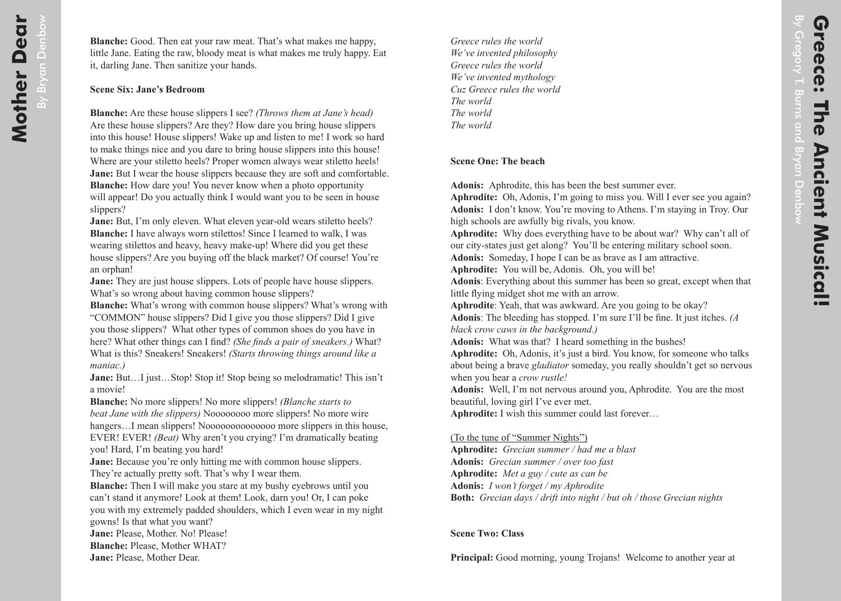*Greece rules the world We've invented philosophy Greece rules the world We've invented mythology Cuz Greece rules the world The world The world The world*

## **Scene One: The beach**

**Adonis:** Aphrodite, this has been the best summer ever.

**Aphrodite:** Oh, Adonis, I'm going to miss you. Will I ever see you again? **Adonis:** I don't know. You're moving to Athens. I'm staying in Troy. Our high schools are awfully big rivals, you know.

**Aphrodite:** Why does everything have to be about war? Why can't all of our city-states just get along? You'll be entering military school soon.

**Adonis:** Someday, I hope I can be as brave as I am attractive.

**Aphrodite:** You will be, Adonis. Oh, you will be!

**Adonis**: Everything about this summer has been so great, except when that little flying midget shot me with an arrow.

**Aphrodite**: Yeah, that was awkward. Are you going to be okay?

**Adonis**: The bleeding has stopped. I'm sure I'll be fine. It just itches. *(A black crow caws in the background.)* 

**Adonis:** What was that? I heard something in the bushes!

**Aphrodite:** Oh, Adonis, it's just a bird. You know, for someone who talks about being a brave *gladiator* someday, you really shouldn't get so nervous when you hear a *crow rustle!*

**Adonis:** Well, I'm not nervous around you, Aphrodite. You are the most beautiful, loving girl I've ever met.

**Aphrodite:** I wish this summer could last forever…

(To the tune of "Summer Nights")

**Aphrodite:** *Grecian summer / had me a blast* **Adonis:** *Grecian summer / over too fast* **Aphrodite:** *Met a guy / cute as can be* **Adonis:** *I won't forget / my Aphrodite* **Both:** *Grecian days / drift into night / but oh / those Grecian nights*

**Scene Two: Class**

**Principal:** Good morning, young Trojans! Welcome to another year at

By Gregory T. Burns and Bryan Denbow Gregory T. Burns and Bryan Denbow